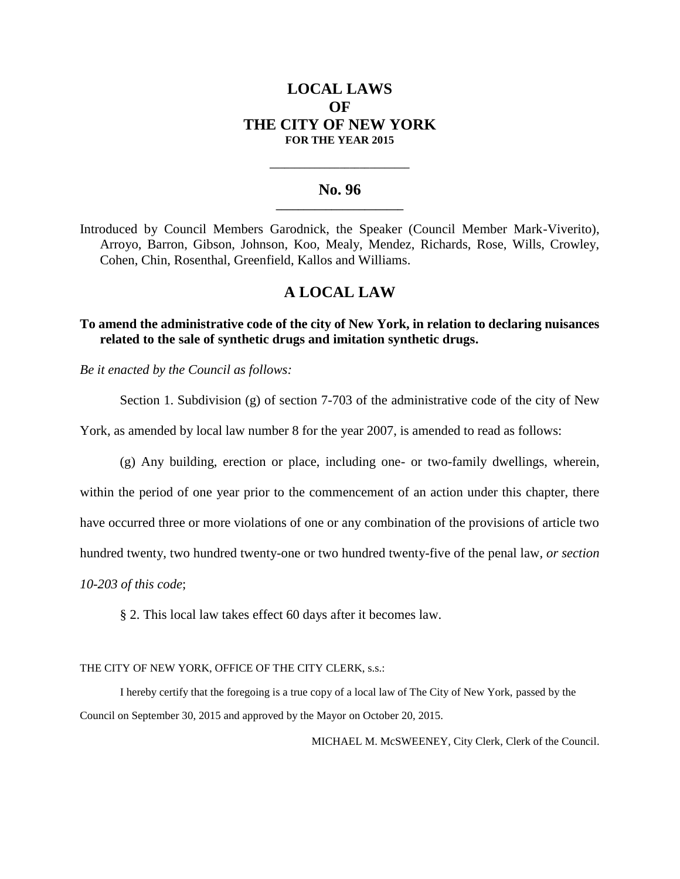# **LOCAL LAWS OF THE CITY OF NEW YORK FOR THE YEAR 2015**

### **No. 96 \_\_\_\_\_\_\_\_\_\_\_\_\_\_\_\_\_\_\_\_\_\_\_**

**\_\_\_\_\_\_\_\_\_\_\_\_\_\_\_\_\_\_\_\_\_\_\_\_\_\_\_\_**

Introduced by Council Members Garodnick, the Speaker (Council Member Mark-Viverito), Arroyo, Barron, Gibson, Johnson, Koo, Mealy, Mendez, Richards, Rose, Wills, Crowley, Cohen, Chin, Rosenthal, Greenfield, Kallos and Williams.

## **A LOCAL LAW**

### **To amend the administrative code of the city of New York, in relation to declaring nuisances related to the sale of synthetic drugs and imitation synthetic drugs.**

*Be it enacted by the Council as follows:*

Section 1. Subdivision (g) of section 7-703 of the administrative code of the city of New

York, as amended by local law number 8 for the year 2007, is amended to read as follows:

(g) Any building, erection or place, including one- or two-family dwellings, wherein,

within the period of one year prior to the commencement of an action under this chapter, there

have occurred three or more violations of one or any combination of the provisions of article two

hundred twenty, two hundred twenty-one or two hundred twenty-five of the penal law*, or section* 

*10-203 of this code*;

§ 2. This local law takes effect 60 days after it becomes law.

THE CITY OF NEW YORK, OFFICE OF THE CITY CLERK, s.s.:

 I hereby certify that the foregoing is a true copy of a local law of The City of New York, passed by the Council on September 30, 2015 and approved by the Mayor on October 20, 2015.

MICHAEL M. McSWEENEY, City Clerk, Clerk of the Council.